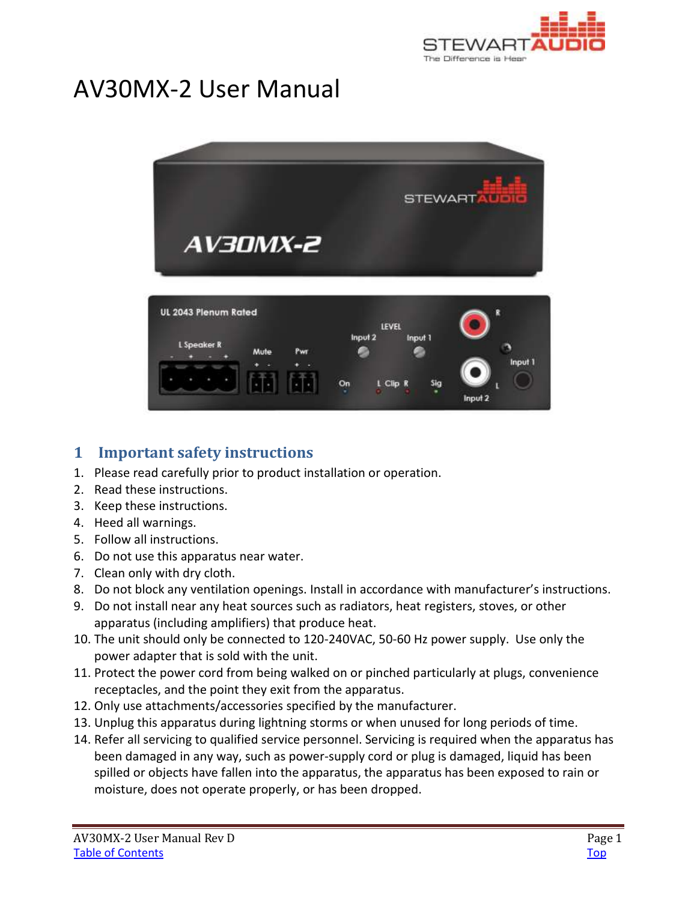

# <span id="page-0-0"></span>AV30MX-2 User Manual



# <span id="page-0-1"></span>**1 Important safety instructions**

- 1. Please read carefully prior to product installation or operation.
- 2. Read these instructions.
- 3. Keep these instructions.
- 4. Heed all warnings.
- 5. Follow all instructions.
- 6. Do not use this apparatus near water.
- 7. Clean only with dry cloth.
- 8. Do not block any ventilation openings. Install in accordance with manufacturer's instructions.
- 9. Do not install near any heat sources such as radiators, heat registers, stoves, or other apparatus (including amplifiers) that produce heat.
- 10. The unit should only be connected to 120-240VAC, 50-60 Hz power supply. Use only the power adapter that is sold with the unit.
- 11. Protect the power cord from being walked on or pinched particularly at plugs, convenience receptacles, and the point they exit from the apparatus.
- 12. Only use attachments/accessories specified by the manufacturer.
- 13. Unplug this apparatus during lightning storms or when unused for long periods of time.
- 14. Refer all servicing to qualified service personnel. Servicing is required when the apparatus has been damaged in any way, such as power-supply cord or plug is damaged, liquid has been spilled or objects have fallen into the apparatus, the apparatus has been exposed to rain or moisture, does not operate properly, or has been dropped.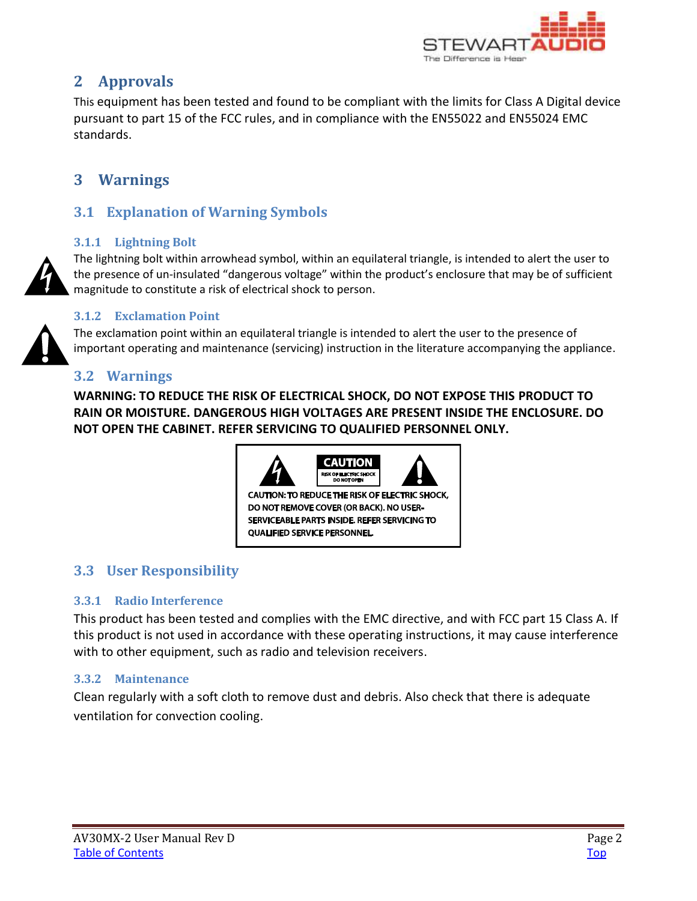

# <span id="page-1-0"></span>**2 Approvals**

This equipment has been tested and found to be compliant with the limits for Class A Digital device pursuant to part 15 of the FCC rules, and in compliance with the EN55022 and EN55024 EMC standards.

# <span id="page-1-1"></span>**3 Warnings**

## <span id="page-1-2"></span>**3.1 Explanation of Warning Symbols**

### <span id="page-1-3"></span>**3.1.1 Lightning Bolt**

The lightning bolt within arrowhead symbol, within an equilateral triangle, is intended to alert the user to the presence of un-insulated "dangerous voltage" within the product's enclosure that may be of sufficient magnitude to constitute a risk of electrical shock to person.

### <span id="page-1-4"></span>**3.1.2 Exclamation Point**

The exclamation point within an equilateral triangle is intended to alert the user to the presence of important operating and maintenance (servicing) instruction in the literature accompanying the appliance.

### <span id="page-1-5"></span>**3.2 Warnings**

**WARNING: TO REDUCE THE RISK OF ELECTRICAL SHOCK, DO NOT EXPOSE THIS PRODUCT TO RAIN OR MOISTURE. DANGEROUS HIGH VOLTAGES ARE PRESENT INSIDE THE ENCLOSURE. DO NOT OPEN THE CABINET. REFER SERVICING TO QUALIFIED PERSONNEL ONLY.**



# <span id="page-1-6"></span>**3.3 User Responsibility**

### <span id="page-1-7"></span>**3.3.1 Radio Interference**

This product has been tested and complies with the EMC directive, and with FCC part 15 Class A. If this product is not used in accordance with these operating instructions, it may cause interference with to other equipment, such as radio and television receivers.

### <span id="page-1-8"></span>**3.3.2 Maintenance**

Clean regularly with a soft cloth to remove dust and debris. Also check that there is adequate ventilation for convection cooling.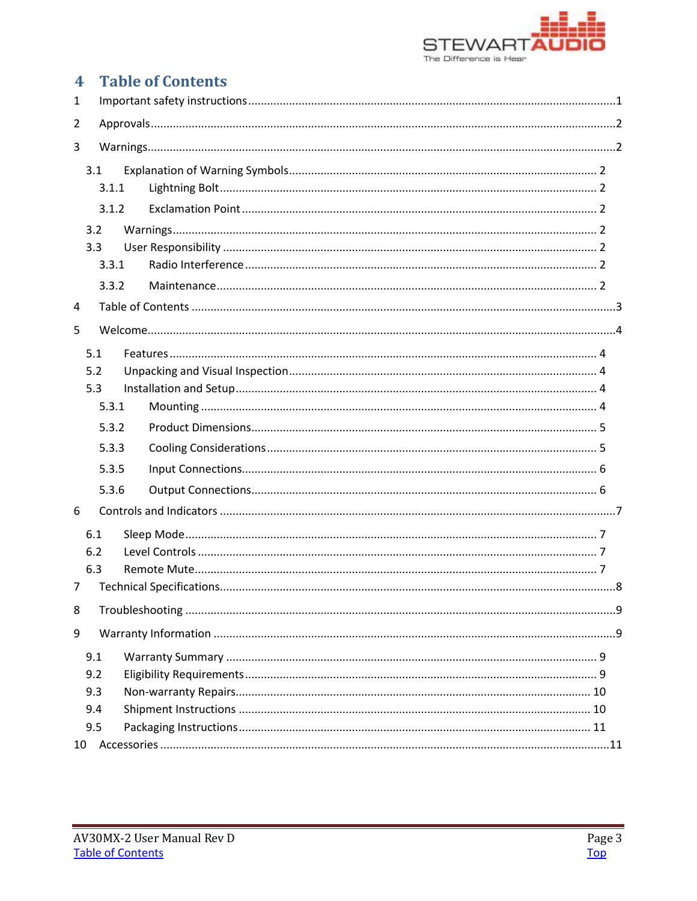

# <span id="page-2-0"></span>**4** Table of Contents

| 1              |            |  |  |  |  |  |
|----------------|------------|--|--|--|--|--|
| 2              |            |  |  |  |  |  |
| 3              |            |  |  |  |  |  |
|                | 3.1        |  |  |  |  |  |
|                | 3.1.1      |  |  |  |  |  |
|                | 3.1.2      |  |  |  |  |  |
|                | 3.2        |  |  |  |  |  |
|                | 3.3        |  |  |  |  |  |
|                | 3.3.1      |  |  |  |  |  |
|                | 3.3.2      |  |  |  |  |  |
| 4              |            |  |  |  |  |  |
| 5              |            |  |  |  |  |  |
| 5.1            |            |  |  |  |  |  |
|                | 5.2        |  |  |  |  |  |
|                | 5.3        |  |  |  |  |  |
|                | 5.3.1      |  |  |  |  |  |
|                | 5.3.2      |  |  |  |  |  |
|                | 5.3.3      |  |  |  |  |  |
|                | 5.3.5      |  |  |  |  |  |
|                | 5.3.6      |  |  |  |  |  |
| 6              |            |  |  |  |  |  |
|                |            |  |  |  |  |  |
|                | 6.1<br>6.2 |  |  |  |  |  |
|                | 6.3        |  |  |  |  |  |
| $\overline{7}$ |            |  |  |  |  |  |
| 8              |            |  |  |  |  |  |
| 9              |            |  |  |  |  |  |
|                |            |  |  |  |  |  |
|                | 9.1<br>9.2 |  |  |  |  |  |
|                | 9.3        |  |  |  |  |  |
|                | 9.4        |  |  |  |  |  |
|                | 9.5        |  |  |  |  |  |
| 10             |            |  |  |  |  |  |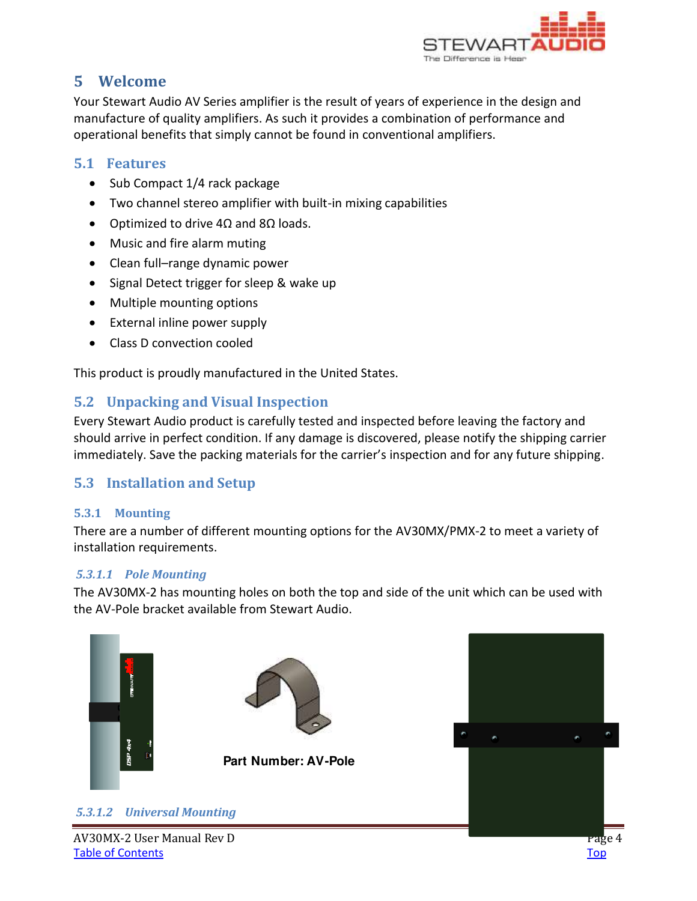

# <span id="page-3-0"></span>**5 Welcome**

Your Stewart Audio AV Series amplifier is the result of years of experience in the design and manufacture of quality amplifiers. As such it provides a combination of performance and operational benefits that simply cannot be found in conventional amplifiers.

### <span id="page-3-1"></span>**5.1 Features**

- Sub Compact 1/4 rack package
- Two channel stereo amplifier with built-in mixing capabilities
- Optimized to drive  $4\Omega$  and  $8\Omega$  loads.
- Music and fire alarm muting
- Clean full–range dynamic power
- Signal Detect trigger for sleep & wake up
- Multiple mounting options
- External inline power supply
- Class D convection cooled

This product is proudly manufactured in the United States.

### <span id="page-3-2"></span>**5.2 Unpacking and Visual Inspection**

Every Stewart Audio product is carefully tested and inspected before leaving the factory and should arrive in perfect condition. If any damage is discovered, please notify the shipping carrier immediately. Save the packing materials for the carrier's inspection and for any future shipping.

### <span id="page-3-3"></span>**5.3 Installation and Setup**

### <span id="page-3-4"></span>**5.3.1 Mounting**

There are a number of different mounting options for the AV30MX/PMX-2 to meet a variety of installation requirements.

### *5.3.1.1 Pole Mounting*

The AV30MX-2 has mounting holes on both the top and side of the unit which can be used with the AV-Pole bracket available from Stewart Audio.



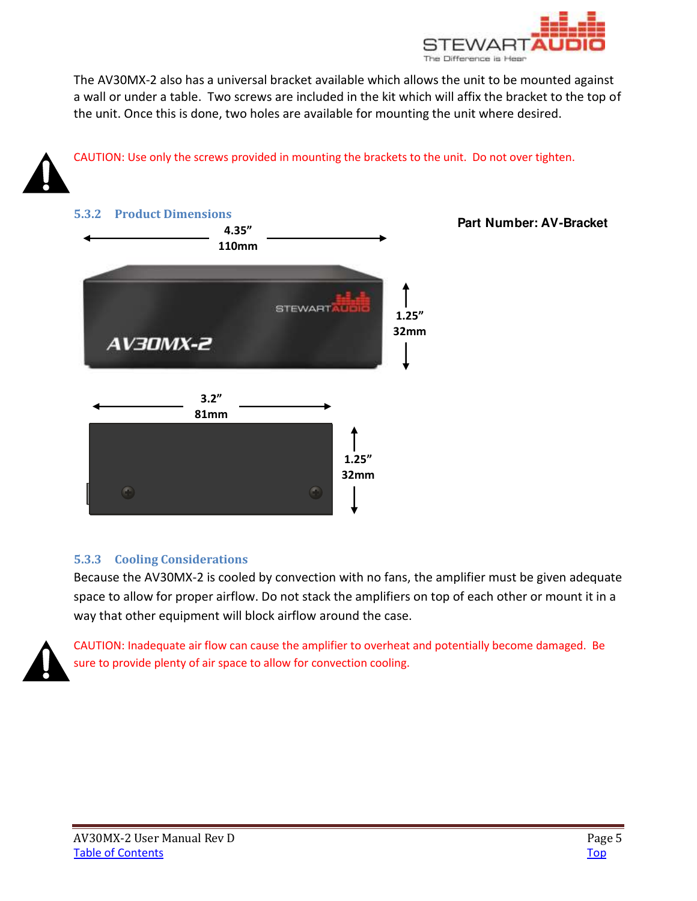

The AV30MX-2 also has a universal bracket available which allows the unit to be mounted against a wall or under a table. Two screws are included in the kit which will affix the bracket to the top of the unit. Once this is done, two holes are available for mounting the unit where desired.



CAUTION: Use only the screws provided in mounting the brackets to the unit. Do not over tighten.

<span id="page-4-0"></span>

### <span id="page-4-1"></span>**5.3.3 Cooling Considerations**

Because the AV30MX-2 is cooled by convection with no fans, the amplifier must be given adequate space to allow for proper airflow. Do not stack the amplifiers on top of each other or mount it in a way that other equipment will block airflow around the case.



CAUTION: Inadequate air flow can cause the amplifier to overheat and potentially become damaged. Be sure to provide plenty of air space to allow for convection cooling.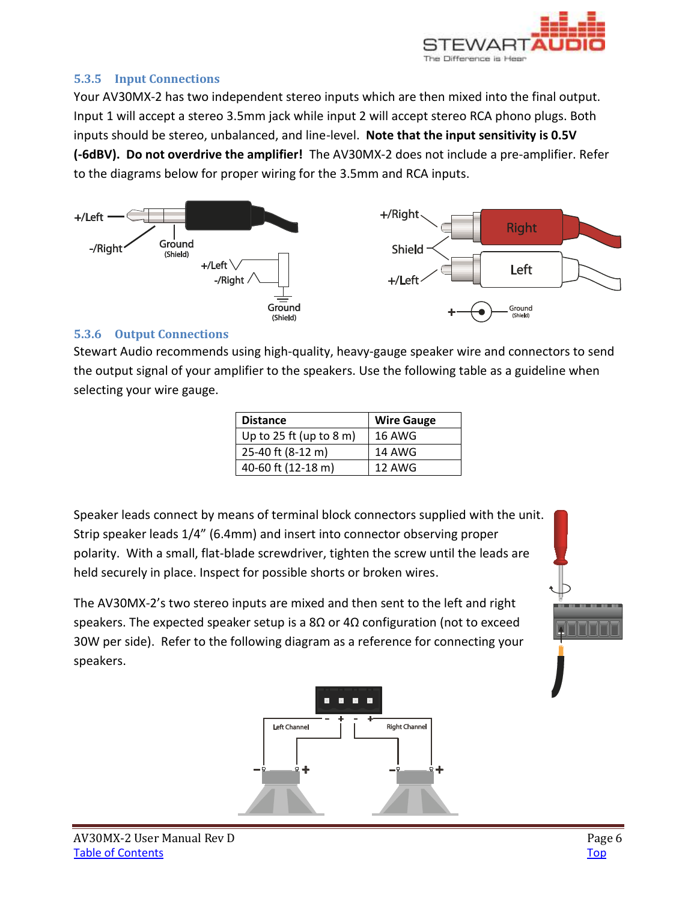

### <span id="page-5-0"></span>**5.3.5 Input Connections**

Your AV30MX-2 has two independent stereo inputs which are then mixed into the final output. Input 1 will accept a stereo 3.5mm jack while input 2 will accept stereo RCA phono plugs. Both inputs should be stereo, unbalanced, and line-level. **Note that the input sensitivity is 0.5V (6dBV). Do not overdrive the amplifier!** The AV30MX-2 does not include a pre-amplifier. Refer to the diagrams below for proper wiring for the 3.5mm and RCA inputs.



#### <span id="page-5-1"></span>**5.3.6 Output Connections**

Stewart Audio recommends using high-quality, heavy-gauge speaker wire and connectors to send the output signal of your amplifier to the speakers. Use the following table as a guideline when selecting your wire gauge.

| <b>Distance</b>         | <b>Wire Gauge</b> |
|-------------------------|-------------------|
| Up to 25 ft (up to 8 m) | <b>16 AWG</b>     |
| 25-40 ft (8-12 m)       | 14 AWG            |
| 40-60 ft (12-18 m)      | 12 AWG            |

Speaker leads connect by means of terminal block connectors supplied with the unit. Strip speaker leads 1/4" (6.4mm) and insert into connector observing proper polarity. With a small, flat-blade screwdriver, tighten the screw until the leads are held securely in place. Inspect for possible shorts or broken wires.

The AV30MX-2's two stereo inputs are mixed and then sent to the left and right speakers. The expected speaker setup is a 8 $\Omega$  or 4 $\Omega$  configuration (not to exceed 30W per side). Refer to the following diagram as a reference for connecting your speakers.

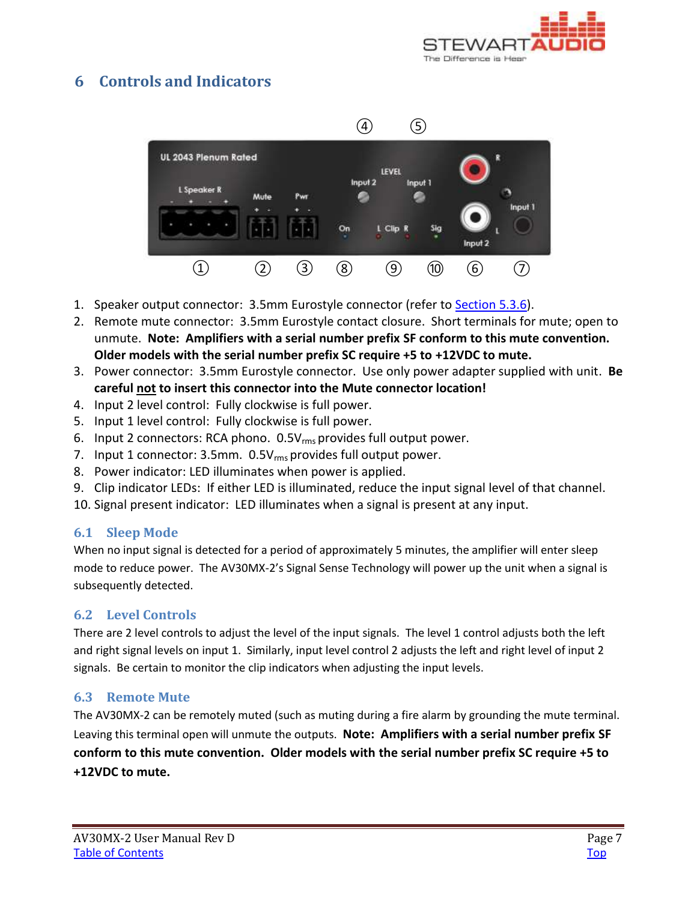

# <span id="page-6-0"></span>**6 Controls and Indicators**



- 1. Speaker output connector: 3.5mm Eurostyle connector (refer to [Section 5.3.6\)](#page-5-1).
- 2. Remote mute connector: 3.5mm Eurostyle contact closure. Short terminals for mute; open to unmute. **Note: Amplifiers with a serial number prefix SF conform to this mute convention. Older models with the serial number prefix SC require +5 to +12VDC to mute.**
- 3. Power connector: 3.5mm Eurostyle connector. Use only power adapter supplied with unit. **Be careful not to insert this connector into the Mute connector location!**
- 4. Input 2 level control: Fully clockwise is full power.
- 5. Input 1 level control: Fully clockwise is full power.
- 6. Input 2 connectors: RCA phono. 0.5Vrms provides full output power.
- 7. Input 1 connector: 3.5mm. 0.5V<sub>rms</sub> provides full output power.
- 8. Power indicator: LED illuminates when power is applied.
- 9. Clip indicator LEDs: If either LED is illuminated, reduce the input signal level of that channel.
- 10. Signal present indicator: LED illuminates when a signal is present at any input.

### <span id="page-6-1"></span>**6.1 Sleep Mode**

When no input signal is detected for a period of approximately 5 minutes, the amplifier will enter sleep mode to reduce power. The AV30MX-2's Signal Sense Technology will power up the unit when a signal is subsequently detected.

### <span id="page-6-2"></span>**6.2 Level Controls**

There are 2 level controls to adjust the level of the input signals. The level 1 control adjusts both the left and right signal levels on input 1. Similarly, input level control 2 adjusts the left and right level of input 2 signals. Be certain to monitor the clip indicators when adjusting the input levels.

#### <span id="page-6-3"></span>**6.3 Remote Mute**

The AV30MX-2 can be remotely muted (such as muting during a fire alarm by grounding the mute terminal. Leaving this terminal open will unmute the outputs. **Note: Amplifiers with a serial number prefix SF conform to this mute convention. Older models with the serial number prefix SC require +5 to +12VDC to mute.**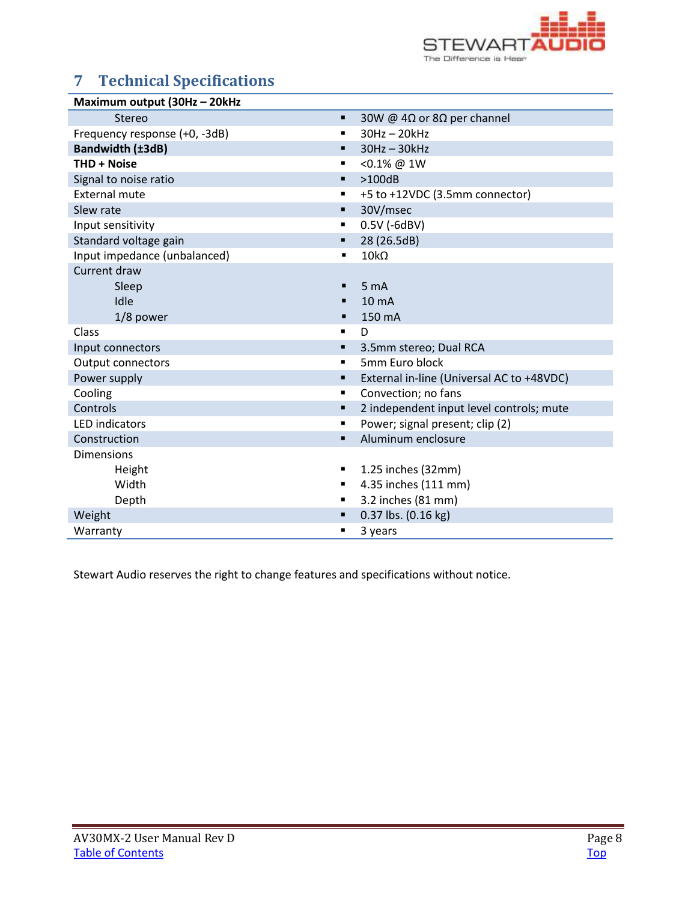

# <span id="page-7-0"></span>**7 Technical Specifications**

| Maximum output (30Hz - 20kHz  |                                                   |
|-------------------------------|---------------------------------------------------|
| <b>Stereo</b>                 | 30W @ 4 $\Omega$ or 8 $\Omega$ per channel<br>٠   |
| Frequency response (+0, -3dB) | $30Hz - 20kHz$<br>$\blacksquare$                  |
| Bandwidth (±3dB)              | $30Hz - 30kHz$<br>٠                               |
| <b>THD + Noise</b>            | <0.1% @ 1W<br>$\blacksquare$                      |
| Signal to noise ratio         | >100dB<br>٠                                       |
| <b>External mute</b>          | +5 to +12VDC (3.5mm connector)<br>٠               |
| Slew rate                     | 30V/msec<br>٠                                     |
| Input sensitivity             | 0.5V (-6dBV)<br>٠                                 |
| Standard voltage gain         | 28 (26.5dB)<br>٠                                  |
| Input impedance (unbalanced)  | $10k\Omega$                                       |
| Current draw                  |                                                   |
| Sleep                         | 5 <sub>m</sub> A                                  |
| Idle                          | 10 <sub>m</sub> A                                 |
| 1/8 power                     | 150 mA                                            |
| Class                         | D<br>$\blacksquare$                               |
| Input connectors              | 3.5mm stereo; Dual RCA<br>٠                       |
| <b>Output connectors</b>      | 5mm Euro block<br>$\blacksquare$                  |
| Power supply                  | External in-line (Universal AC to +48VDC)<br>٠    |
| Cooling                       | Convection; no fans<br>$\blacksquare$             |
| Controls                      | 2 independent input level controls; mute<br>٠     |
| <b>LED</b> indicators         | Power; signal present; clip (2)<br>$\blacksquare$ |
| Construction                  | Aluminum enclosure                                |
| <b>Dimensions</b>             |                                                   |
| Height                        | 1.25 inches (32mm)<br>٠                           |
| Width                         | 4.35 inches (111 mm)<br>٠                         |
| Depth                         | 3.2 inches (81 mm)<br>٠                           |
| Weight                        | 0.37 lbs. (0.16 kg)                               |
| Warranty                      | 3 years                                           |

Stewart Audio reserves the right to change features and specifications without notice.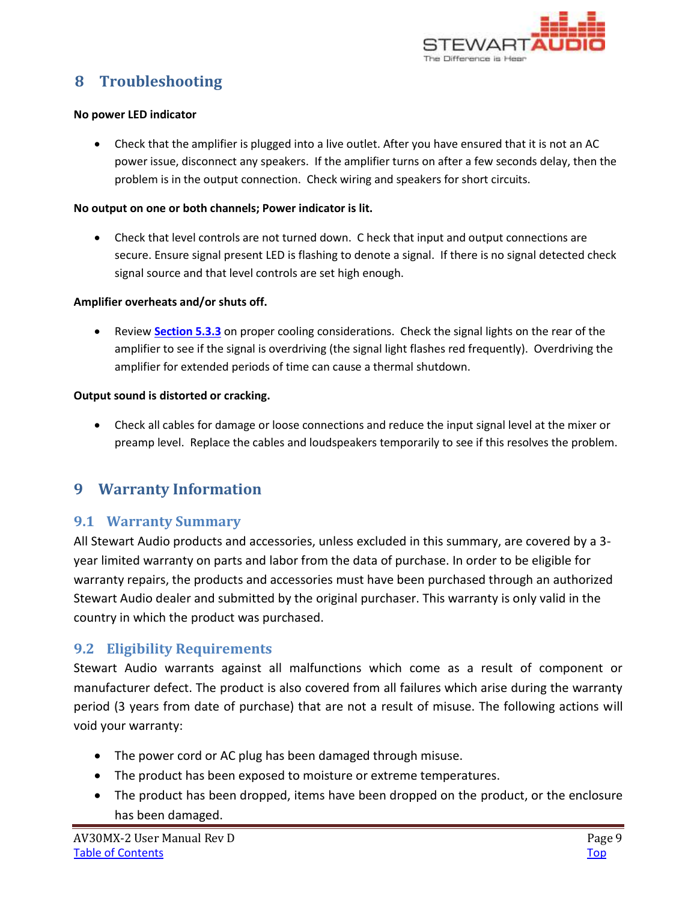

# <span id="page-8-0"></span>**8 Troubleshooting**

#### **No power LED indicator**

 Check that the amplifier is plugged into a live outlet. After you have ensured that it is not an AC power issue, disconnect any speakers. If the amplifier turns on after a few seconds delay, then the problem is in the output connection. Check wiring and speakers for short circuits.

#### **No output on one or both channels; Power indicator is lit.**

 Check that level controls are not turned down. C heck that input and output connections are secure. Ensure signal present LED is flashing to denote a signal. If there is no signal detected check signal source and that level controls are set high enough.

#### **Amplifier overheats and/or shuts off.**

 Review **[Section 5.3.3](#page-4-1)** on proper cooling considerations. Check the signal lights on the rear of the amplifier to see if the signal is overdriving (the signal light flashes red frequently). Overdriving the amplifier for extended periods of time can cause a thermal shutdown.

#### **Output sound is distorted or cracking.**

 Check all cables for damage or loose connections and reduce the input signal level at the mixer or preamp level. Replace the cables and loudspeakers temporarily to see if this resolves the problem.

## <span id="page-8-1"></span>**9 Warranty Information**

### <span id="page-8-2"></span>**9.1 Warranty Summary**

All Stewart Audio products and accessories, unless excluded in this summary, are covered by a 3 year limited warranty on parts and labor from the data of purchase. In order to be eligible for warranty repairs, the products and accessories must have been purchased through an authorized Stewart Audio dealer and submitted by the original purchaser. This warranty is only valid in the country in which the product was purchased.

### <span id="page-8-3"></span>**9.2 Eligibility Requirements**

Stewart Audio warrants against all malfunctions which come as a result of component or manufacturer defect. The product is also covered from all failures which arise during the warranty period (3 years from date of purchase) that are not a result of misuse. The following actions will void your warranty:

- The power cord or AC plug has been damaged through misuse.
- The product has been exposed to moisture or extreme temperatures.
- The product has been dropped, items have been dropped on the product, or the enclosure has been damaged.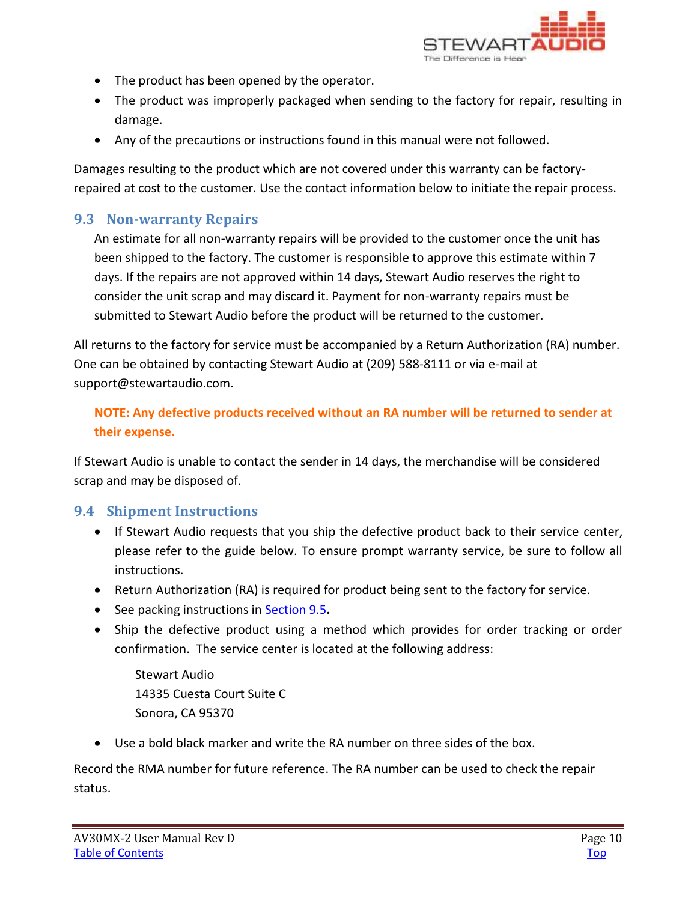

- The product has been opened by the operator.
- The product was improperly packaged when sending to the factory for repair, resulting in damage.
- Any of the precautions or instructions found in this manual were not followed.

Damages resulting to the product which are not covered under this warranty can be factoryrepaired at cost to the customer. Use the contact information below to initiate the repair process.

### <span id="page-9-0"></span>**9.3 Non-warranty Repairs**

An estimate for all non-warranty repairs will be provided to the customer once the unit has been shipped to the factory. The customer is responsible to approve this estimate within 7 days. If the repairs are not approved within 14 days, Stewart Audio reserves the right to consider the unit scrap and may discard it. Payment for non-warranty repairs must be submitted to Stewart Audio before the product will be returned to the customer.

All returns to the factory for service must be accompanied by a Return Authorization (RA) number. One can be obtained by contacting Stewart Audio at (209) 588-8111 or via e-mail at support@stewartaudio.com.

### **NOTE: Any defective products received without an RA number will be returned to sender at their expense.**

If Stewart Audio is unable to contact the sender in 14 days, the merchandise will be considered scrap and may be disposed of.

### <span id="page-9-1"></span>**9.4 Shipment Instructions**

- If Stewart Audio requests that you ship the defective product back to their service center, please refer to the guide below. To ensure prompt warranty service, be sure to follow all instructions.
- Return Authorization (RA) is required for product being sent to the factory for service.
- See packing instructions in [Section 9.5](#page-10-0)**.**
- Ship the defective product using a method which provides for order tracking or order confirmation. The service center is located at the following address:

Stewart Audio 14335 Cuesta Court Suite C Sonora, CA 95370

Use a bold black marker and write the RA number on three sides of the box.

Record the RMA number for future reference. The RA number can be used to check the repair status.